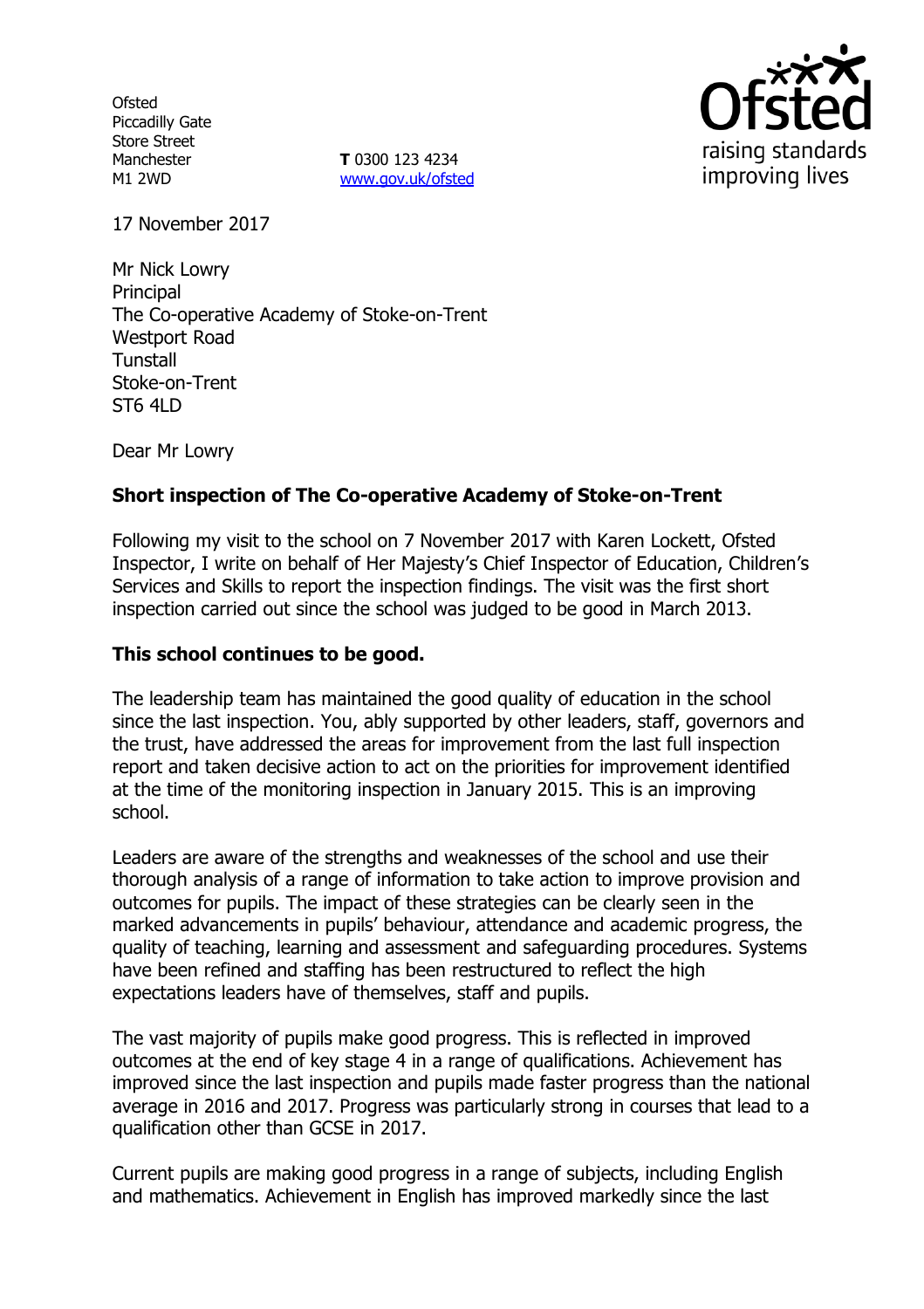**Ofsted** Piccadilly Gate Store Street Manchester M1 2WD

**T** 0300 123 4234 [www.gov.uk/ofsted](http://www.gov.uk/ofsted)



17 November 2017

Mr Nick Lowry **Principal** The Co-operative Academy of Stoke-on-Trent Westport Road Tunstall Stoke-on-Trent  $ST6$  4LD

Dear Mr Lowry

#### **Short inspection of The Co-operative Academy of Stoke-on-Trent**

Following my visit to the school on 7 November 2017 with Karen Lockett, Ofsted Inspector, I write on behalf of Her Majesty's Chief Inspector of Education, Children's Services and Skills to report the inspection findings. The visit was the first short inspection carried out since the school was judged to be good in March 2013.

#### **This school continues to be good.**

The leadership team has maintained the good quality of education in the school since the last inspection. You, ably supported by other leaders, staff, governors and the trust, have addressed the areas for improvement from the last full inspection report and taken decisive action to act on the priorities for improvement identified at the time of the monitoring inspection in January 2015. This is an improving school.

Leaders are aware of the strengths and weaknesses of the school and use their thorough analysis of a range of information to take action to improve provision and outcomes for pupils. The impact of these strategies can be clearly seen in the marked advancements in pupils' behaviour, attendance and academic progress, the quality of teaching, learning and assessment and safeguarding procedures. Systems have been refined and staffing has been restructured to reflect the high expectations leaders have of themselves, staff and pupils.

The vast majority of pupils make good progress. This is reflected in improved outcomes at the end of key stage 4 in a range of qualifications. Achievement has improved since the last inspection and pupils made faster progress than the national average in 2016 and 2017. Progress was particularly strong in courses that lead to a qualification other than GCSE in 2017.

Current pupils are making good progress in a range of subjects, including English and mathematics. Achievement in English has improved markedly since the last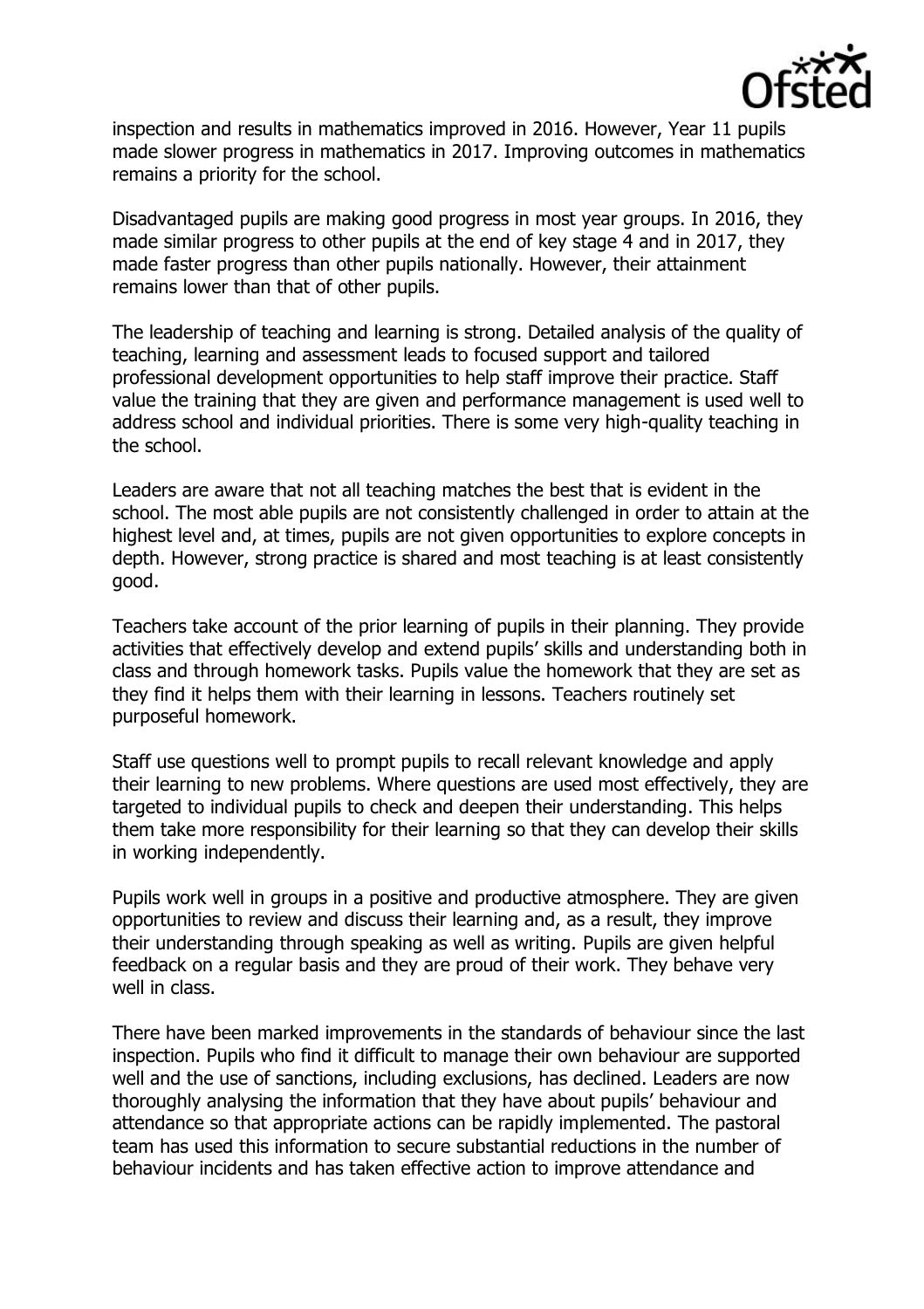

inspection and results in mathematics improved in 2016. However, Year 11 pupils made slower progress in mathematics in 2017. Improving outcomes in mathematics remains a priority for the school.

Disadvantaged pupils are making good progress in most year groups. In 2016, they made similar progress to other pupils at the end of key stage 4 and in 2017, they made faster progress than other pupils nationally. However, their attainment remains lower than that of other pupils.

The leadership of teaching and learning is strong. Detailed analysis of the quality of teaching, learning and assessment leads to focused support and tailored professional development opportunities to help staff improve their practice. Staff value the training that they are given and performance management is used well to address school and individual priorities. There is some very high-quality teaching in the school.

Leaders are aware that not all teaching matches the best that is evident in the school. The most able pupils are not consistently challenged in order to attain at the highest level and, at times, pupils are not given opportunities to explore concepts in depth. However, strong practice is shared and most teaching is at least consistently good.

Teachers take account of the prior learning of pupils in their planning. They provide activities that effectively develop and extend pupils' skills and understanding both in class and through homework tasks. Pupils value the homework that they are set as they find it helps them with their learning in lessons. Teachers routinely set purposeful homework.

Staff use questions well to prompt pupils to recall relevant knowledge and apply their learning to new problems. Where questions are used most effectively, they are targeted to individual pupils to check and deepen their understanding. This helps them take more responsibility for their learning so that they can develop their skills in working independently.

Pupils work well in groups in a positive and productive atmosphere. They are given opportunities to review and discuss their learning and, as a result, they improve their understanding through speaking as well as writing. Pupils are given helpful feedback on a regular basis and they are proud of their work. They behave very well in class.

There have been marked improvements in the standards of behaviour since the last inspection. Pupils who find it difficult to manage their own behaviour are supported well and the use of sanctions, including exclusions, has declined. Leaders are now thoroughly analysing the information that they have about pupils' behaviour and attendance so that appropriate actions can be rapidly implemented. The pastoral team has used this information to secure substantial reductions in the number of behaviour incidents and has taken effective action to improve attendance and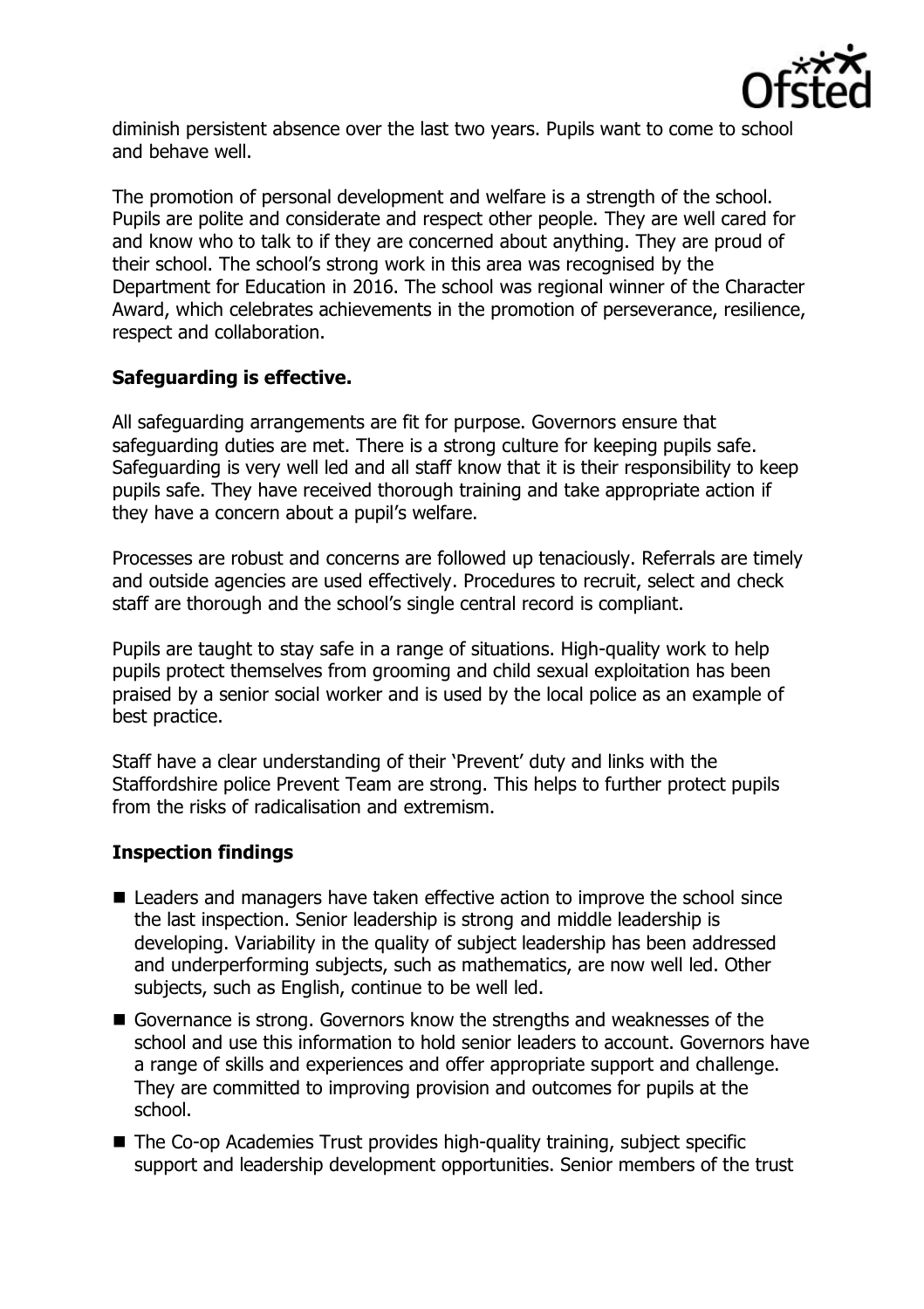

diminish persistent absence over the last two years. Pupils want to come to school and behave well.

The promotion of personal development and welfare is a strength of the school. Pupils are polite and considerate and respect other people. They are well cared for and know who to talk to if they are concerned about anything. They are proud of their school. The school's strong work in this area was recognised by the Department for Education in 2016. The school was regional winner of the Character Award, which celebrates achievements in the promotion of perseverance, resilience, respect and collaboration.

# **Safeguarding is effective.**

All safeguarding arrangements are fit for purpose. Governors ensure that safeguarding duties are met. There is a strong culture for keeping pupils safe. Safeguarding is very well led and all staff know that it is their responsibility to keep pupils safe. They have received thorough training and take appropriate action if they have a concern about a pupil's welfare.

Processes are robust and concerns are followed up tenaciously. Referrals are timely and outside agencies are used effectively. Procedures to recruit, select and check staff are thorough and the school's single central record is compliant.

Pupils are taught to stay safe in a range of situations. High-quality work to help pupils protect themselves from grooming and child sexual exploitation has been praised by a senior social worker and is used by the local police as an example of best practice.

Staff have a clear understanding of their 'Prevent' duty and links with the Staffordshire police Prevent Team are strong. This helps to further protect pupils from the risks of radicalisation and extremism.

# **Inspection findings**

- **E** Leaders and managers have taken effective action to improve the school since the last inspection. Senior leadership is strong and middle leadership is developing. Variability in the quality of subject leadership has been addressed and underperforming subjects, such as mathematics, are now well led. Other subjects, such as English, continue to be well led.
- Governance is strong. Governors know the strengths and weaknesses of the school and use this information to hold senior leaders to account. Governors have a range of skills and experiences and offer appropriate support and challenge. They are committed to improving provision and outcomes for pupils at the school.
- The Co-op Academies Trust provides high-quality training, subject specific support and leadership development opportunities. Senior members of the trust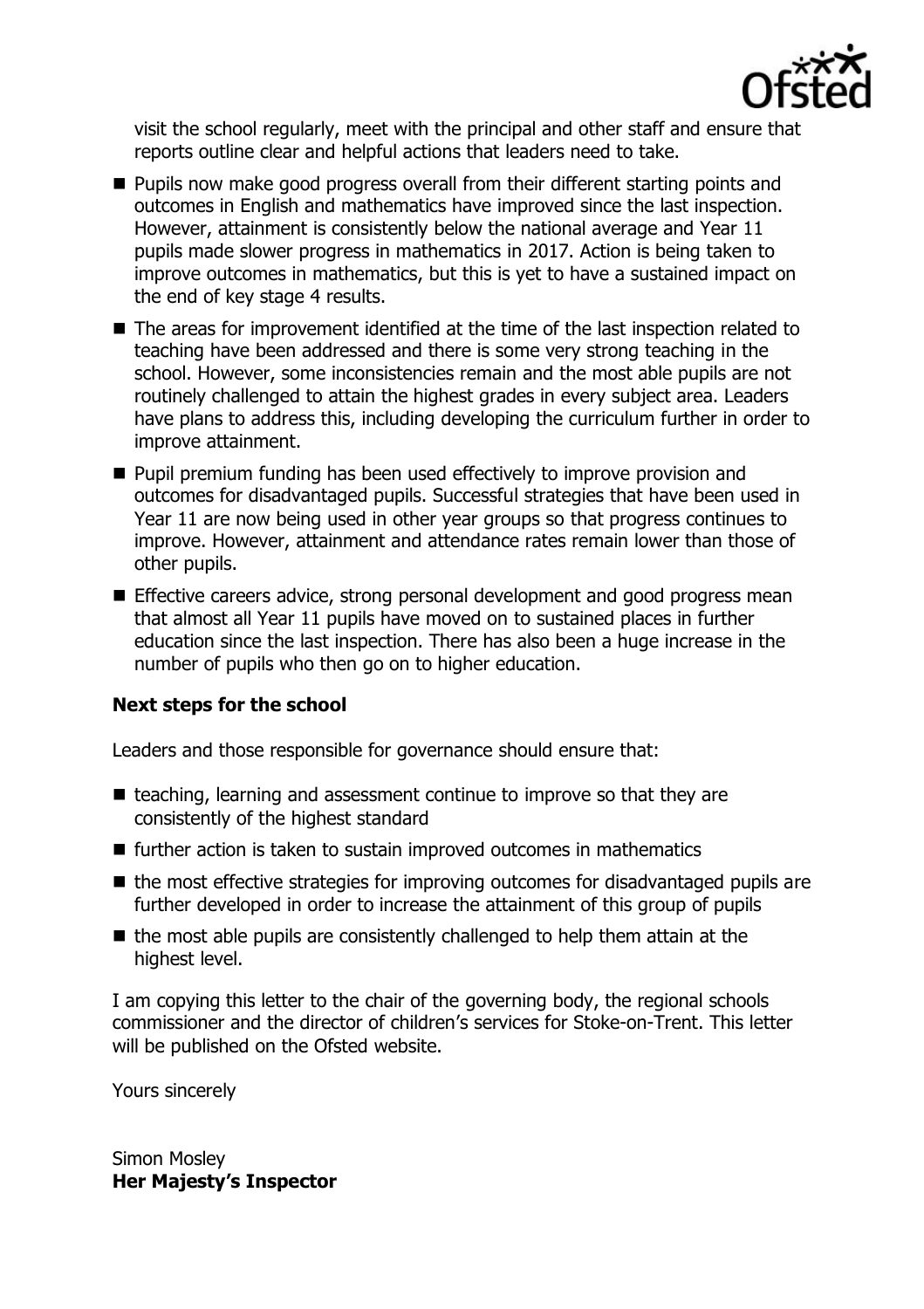

visit the school regularly, meet with the principal and other staff and ensure that reports outline clear and helpful actions that leaders need to take.

- **Pupils now make good progress overall from their different starting points and** outcomes in English and mathematics have improved since the last inspection. However, attainment is consistently below the national average and Year 11 pupils made slower progress in mathematics in 2017. Action is being taken to improve outcomes in mathematics, but this is yet to have a sustained impact on the end of key stage 4 results.
- The areas for improvement identified at the time of the last inspection related to teaching have been addressed and there is some very strong teaching in the school. However, some inconsistencies remain and the most able pupils are not routinely challenged to attain the highest grades in every subject area. Leaders have plans to address this, including developing the curriculum further in order to improve attainment.
- **Pupil premium funding has been used effectively to improve provision and** outcomes for disadvantaged pupils. Successful strategies that have been used in Year 11 are now being used in other year groups so that progress continues to improve. However, attainment and attendance rates remain lower than those of other pupils.
- **Effective careers advice, strong personal development and good progress mean** that almost all Year 11 pupils have moved on to sustained places in further education since the last inspection. There has also been a huge increase in the number of pupils who then go on to higher education.

#### **Next steps for the school**

Leaders and those responsible for governance should ensure that:

- $\blacksquare$  teaching, learning and assessment continue to improve so that they are consistently of the highest standard
- $\blacksquare$  further action is taken to sustain improved outcomes in mathematics
- $\blacksquare$  the most effective strategies for improving outcomes for disadvantaged pupils are further developed in order to increase the attainment of this group of pupils
- $\blacksquare$  the most able pupils are consistently challenged to help them attain at the highest level.

I am copying this letter to the chair of the governing body, the regional schools commissioner and the director of children's services for Stoke-on-Trent. This letter will be published on the Ofsted website.

Yours sincerely

Simon Mosley **Her Majesty's Inspector**